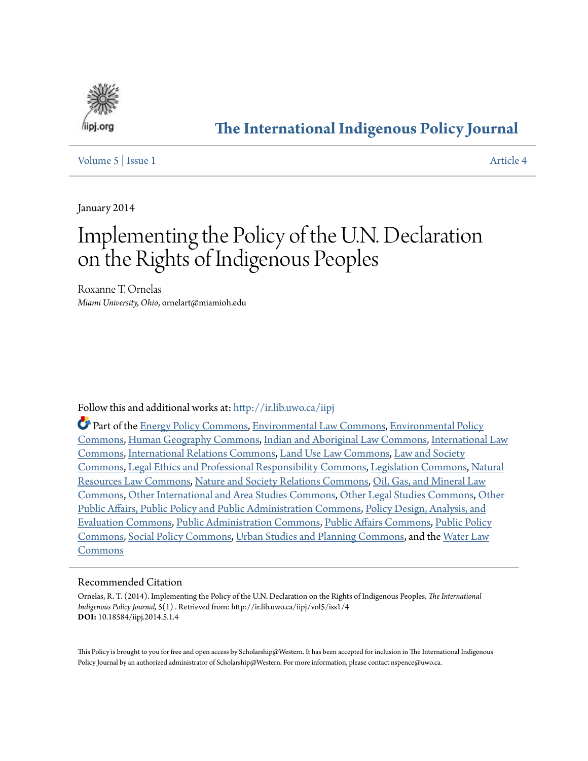

# **[The International Indigenous Policy Journal](http://ir.lib.uwo.ca/iipj?utm_source=ir.lib.uwo.ca%2Fiipj%2Fvol5%2Fiss1%2F4&utm_medium=PDF&utm_campaign=PDFCoverPages)**

#### [Volume 5](http://ir.lib.uwo.ca/iipj/vol5?utm_source=ir.lib.uwo.ca%2Fiipj%2Fvol5%2Fiss1%2F4&utm_medium=PDF&utm_campaign=PDFCoverPages) | [Issue 1](http://ir.lib.uwo.ca/iipj/vol5/iss1?utm_source=ir.lib.uwo.ca%2Fiipj%2Fvol5%2Fiss1%2F4&utm_medium=PDF&utm_campaign=PDFCoverPages) [Article 4](http://ir.lib.uwo.ca/iipj/vol5/iss1/4?utm_source=ir.lib.uwo.ca%2Fiipj%2Fvol5%2Fiss1%2F4&utm_medium=PDF&utm_campaign=PDFCoverPages)

January 2014

# Implementing the Policy of the U.N. Declaration on the Rights of Indigenous Peoples

Roxanne T. Ornelas *Miami University, Ohio*, ornelart@miamioh.edu

#### Follow this and additional works at: [http://ir.lib.uwo.ca/iipj](http://ir.lib.uwo.ca/iipj?utm_source=ir.lib.uwo.ca%2Fiipj%2Fvol5%2Fiss1%2F4&utm_medium=PDF&utm_campaign=PDFCoverPages)

Part of the [Energy Policy Commons](http://network.bepress.com/hgg/discipline/1065?utm_source=ir.lib.uwo.ca%2Fiipj%2Fvol5%2Fiss1%2F4&utm_medium=PDF&utm_campaign=PDFCoverPages), [Environmental Law Commons,](http://network.bepress.com/hgg/discipline/599?utm_source=ir.lib.uwo.ca%2Fiipj%2Fvol5%2Fiss1%2F4&utm_medium=PDF&utm_campaign=PDFCoverPages) [Environmental Policy](http://network.bepress.com/hgg/discipline/1027?utm_source=ir.lib.uwo.ca%2Fiipj%2Fvol5%2Fiss1%2F4&utm_medium=PDF&utm_campaign=PDFCoverPages) [Commons,](http://network.bepress.com/hgg/discipline/1027?utm_source=ir.lib.uwo.ca%2Fiipj%2Fvol5%2Fiss1%2F4&utm_medium=PDF&utm_campaign=PDFCoverPages) [Human Geography Commons](http://network.bepress.com/hgg/discipline/356?utm_source=ir.lib.uwo.ca%2Fiipj%2Fvol5%2Fiss1%2F4&utm_medium=PDF&utm_campaign=PDFCoverPages), [Indian and Aboriginal Law Commons,](http://network.bepress.com/hgg/discipline/894?utm_source=ir.lib.uwo.ca%2Fiipj%2Fvol5%2Fiss1%2F4&utm_medium=PDF&utm_campaign=PDFCoverPages) [International Law](http://network.bepress.com/hgg/discipline/609?utm_source=ir.lib.uwo.ca%2Fiipj%2Fvol5%2Fiss1%2F4&utm_medium=PDF&utm_campaign=PDFCoverPages) [Commons,](http://network.bepress.com/hgg/discipline/609?utm_source=ir.lib.uwo.ca%2Fiipj%2Fvol5%2Fiss1%2F4&utm_medium=PDF&utm_campaign=PDFCoverPages) [International Relations Commons,](http://network.bepress.com/hgg/discipline/389?utm_source=ir.lib.uwo.ca%2Fiipj%2Fvol5%2Fiss1%2F4&utm_medium=PDF&utm_campaign=PDFCoverPages) [Land Use Law Commons,](http://network.bepress.com/hgg/discipline/852?utm_source=ir.lib.uwo.ca%2Fiipj%2Fvol5%2Fiss1%2F4&utm_medium=PDF&utm_campaign=PDFCoverPages) [Law and Society](http://network.bepress.com/hgg/discipline/853?utm_source=ir.lib.uwo.ca%2Fiipj%2Fvol5%2Fiss1%2F4&utm_medium=PDF&utm_campaign=PDFCoverPages) [Commons,](http://network.bepress.com/hgg/discipline/853?utm_source=ir.lib.uwo.ca%2Fiipj%2Fvol5%2Fiss1%2F4&utm_medium=PDF&utm_campaign=PDFCoverPages) [Legal Ethics and Professional Responsibility Commons](http://network.bepress.com/hgg/discipline/895?utm_source=ir.lib.uwo.ca%2Fiipj%2Fvol5%2Fiss1%2F4&utm_medium=PDF&utm_campaign=PDFCoverPages), [Legislation Commons](http://network.bepress.com/hgg/discipline/859?utm_source=ir.lib.uwo.ca%2Fiipj%2Fvol5%2Fiss1%2F4&utm_medium=PDF&utm_campaign=PDFCoverPages), [Natural](http://network.bepress.com/hgg/discipline/863?utm_source=ir.lib.uwo.ca%2Fiipj%2Fvol5%2Fiss1%2F4&utm_medium=PDF&utm_campaign=PDFCoverPages) [Resources Law Commons](http://network.bepress.com/hgg/discipline/863?utm_source=ir.lib.uwo.ca%2Fiipj%2Fvol5%2Fiss1%2F4&utm_medium=PDF&utm_campaign=PDFCoverPages), [Nature and Society Relations Commons,](http://network.bepress.com/hgg/discipline/357?utm_source=ir.lib.uwo.ca%2Fiipj%2Fvol5%2Fiss1%2F4&utm_medium=PDF&utm_campaign=PDFCoverPages) [Oil, Gas, and Mineral Law](http://network.bepress.com/hgg/discipline/864?utm_source=ir.lib.uwo.ca%2Fiipj%2Fvol5%2Fiss1%2F4&utm_medium=PDF&utm_campaign=PDFCoverPages) [Commons,](http://network.bepress.com/hgg/discipline/864?utm_source=ir.lib.uwo.ca%2Fiipj%2Fvol5%2Fiss1%2F4&utm_medium=PDF&utm_campaign=PDFCoverPages) [Other International and Area Studies Commons](http://network.bepress.com/hgg/discipline/365?utm_source=ir.lib.uwo.ca%2Fiipj%2Fvol5%2Fiss1%2F4&utm_medium=PDF&utm_campaign=PDFCoverPages), [Other Legal Studies Commons](http://network.bepress.com/hgg/discipline/370?utm_source=ir.lib.uwo.ca%2Fiipj%2Fvol5%2Fiss1%2F4&utm_medium=PDF&utm_campaign=PDFCoverPages), [Other](http://network.bepress.com/hgg/discipline/403?utm_source=ir.lib.uwo.ca%2Fiipj%2Fvol5%2Fiss1%2F4&utm_medium=PDF&utm_campaign=PDFCoverPages) [Public Affairs, Public Policy and Public Administration Commons,](http://network.bepress.com/hgg/discipline/403?utm_source=ir.lib.uwo.ca%2Fiipj%2Fvol5%2Fiss1%2F4&utm_medium=PDF&utm_campaign=PDFCoverPages) [Policy Design, Analysis, and](http://network.bepress.com/hgg/discipline/1032?utm_source=ir.lib.uwo.ca%2Fiipj%2Fvol5%2Fiss1%2F4&utm_medium=PDF&utm_campaign=PDFCoverPages) [Evaluation Commons,](http://network.bepress.com/hgg/discipline/1032?utm_source=ir.lib.uwo.ca%2Fiipj%2Fvol5%2Fiss1%2F4&utm_medium=PDF&utm_campaign=PDFCoverPages) [Public Administration Commons](http://network.bepress.com/hgg/discipline/398?utm_source=ir.lib.uwo.ca%2Fiipj%2Fvol5%2Fiss1%2F4&utm_medium=PDF&utm_campaign=PDFCoverPages), [Public Affairs Commons,](http://network.bepress.com/hgg/discipline/399?utm_source=ir.lib.uwo.ca%2Fiipj%2Fvol5%2Fiss1%2F4&utm_medium=PDF&utm_campaign=PDFCoverPages) [Public Policy](http://network.bepress.com/hgg/discipline/400?utm_source=ir.lib.uwo.ca%2Fiipj%2Fvol5%2Fiss1%2F4&utm_medium=PDF&utm_campaign=PDFCoverPages) [Commons,](http://network.bepress.com/hgg/discipline/400?utm_source=ir.lib.uwo.ca%2Fiipj%2Fvol5%2Fiss1%2F4&utm_medium=PDF&utm_campaign=PDFCoverPages) [Social Policy Commons,](http://network.bepress.com/hgg/discipline/1030?utm_source=ir.lib.uwo.ca%2Fiipj%2Fvol5%2Fiss1%2F4&utm_medium=PDF&utm_campaign=PDFCoverPages) [Urban Studies and Planning Commons,](http://network.bepress.com/hgg/discipline/436?utm_source=ir.lib.uwo.ca%2Fiipj%2Fvol5%2Fiss1%2F4&utm_medium=PDF&utm_campaign=PDFCoverPages) and the [Water Law](http://network.bepress.com/hgg/discipline/887?utm_source=ir.lib.uwo.ca%2Fiipj%2Fvol5%2Fiss1%2F4&utm_medium=PDF&utm_campaign=PDFCoverPages) [Commons](http://network.bepress.com/hgg/discipline/887?utm_source=ir.lib.uwo.ca%2Fiipj%2Fvol5%2Fiss1%2F4&utm_medium=PDF&utm_campaign=PDFCoverPages)

#### Recommended Citation

Ornelas, R. T. (2014). Implementing the Policy of the U.N. Declaration on the Rights of Indigenous Peoples. *The International Indigenous Policy Journal,* 5(1) . Retrieved from: http://ir.lib.uwo.ca/iipj/vol5/iss1/4 **DOI:** 10.18584/iipj.2014.5.1.4

This Policy is brought to you for free and open access by Scholarship@Western. It has been accepted for inclusion in The International Indigenous Policy Journal by an authorized administrator of Scholarship@Western. For more information, please contact nspence@uwo.ca.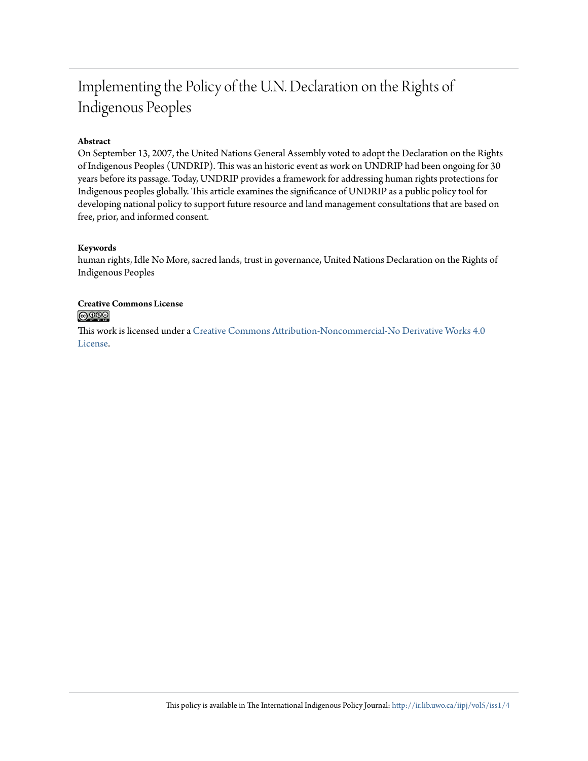# Implementing the Policy of the U.N. Declaration on the Rights of Indigenous Peoples

#### **Abstract**

On September 13, 2007, the United Nations General Assembly voted to adopt the Declaration on the Rights of Indigenous Peoples (UNDRIP). This was an historic event as work on UNDRIP had been ongoing for 30 years before its passage. Today, UNDRIP provides a framework for addressing human rights protections for Indigenous peoples globally. This article examines the significance of UNDRIP as a public policy tool for developing national policy to support future resource and land management consultations that are based on free, prior, and informed consent.

#### **Keywords**

human rights, Idle No More, sacred lands, trust in governance, United Nations Declaration on the Rights of Indigenous Peoples

#### **Creative Commons License**  $\bigcirc$   $\circ$

This work is licensed under a [Creative Commons Attribution-Noncommercial-No Derivative Works 4.0](http://creativecommons.org/licenses/by-nc-nd/4.0/) [License.](http://creativecommons.org/licenses/by-nc-nd/4.0/)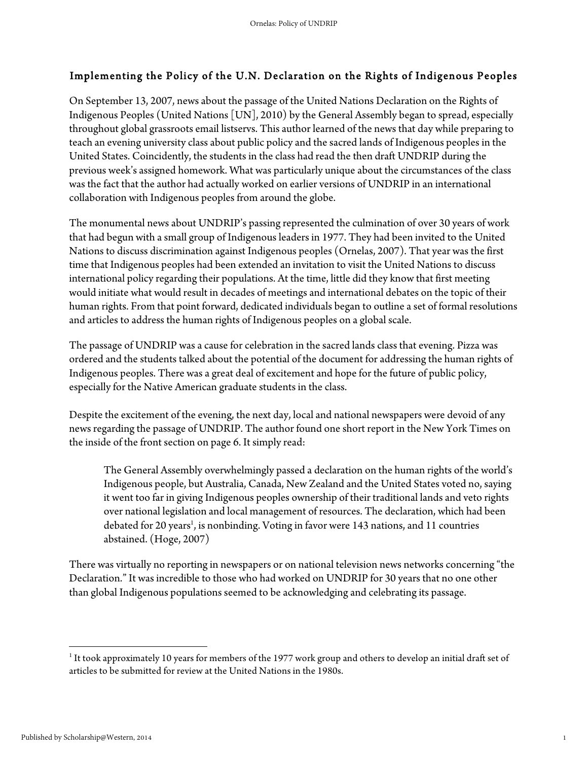# Implementing the Policy of the U.N. Declaration on the Rights of Indigenous Peoples

On September 13, 2007, news about the passage of the United Nations Declaration on the Rights of Indigenous Peoples (United Nations [UN], 2010) by the General Assembly began to spread, especially throughout global grassroots email listservs. This author learned of the news that day while preparing to teach an evening university class about public policy and the sacred lands of Indigenous peoples in the United States. Coincidently, the students in the class had read the then draft UNDRIP during the previous week's assigned homework. What was particularly unique about the circumstances of the class was the fact that the author had actually worked on earlier versions of UNDRIP in an international collaboration with Indigenous peoples from around the globe.

The monumental news about UNDRIP's passing represented the culmination of over 30 years of work that had begun with a small group of Indigenous leaders in 1977. They had been invited to the United Nations to discuss discrimination against Indigenous peoples (Ornelas, 2007). That year was the first time that Indigenous peoples had been extended an invitation to visit the United Nations to discuss international policy regarding their populations. At the time, little did they know that first meeting would initiate what would result in decades of meetings and international debates on the topic of their human rights. From that point forward, dedicated individuals began to outline a set of formal resolutions and articles to address the human rights of Indigenous peoples on a global scale.

The passage of UNDRIP was a cause for celebration in the sacred lands class that evening. Pizza was ordered and the students talked about the potential of the document for addressing the human rights of Indigenous peoples. There was a great deal of excitement and hope for the future of public policy, especially for the Native American graduate students in the class.

Despite the excitement of the evening, the next day, local and national newspapers were devoid of any news regarding the passage of UNDRIP. The author found one short report in the New York Times on the inside of the front section on page 6. It simply read:

The General Assembly overwhelmingly passed a declaration on the human rights of the world's Indigenous people, but Australia, Canada, New Zealand and the United States voted no, saying it went too far in giving Indigenous peoples ownership of their traditional lands and veto rights over national legislation and local management of resources. The declaration, which had been debated for 20 years<sup>1</sup>, is nonbinding. Voting in favor were 143 nations, and 11 countries abstained. (Hoge, 2007)

There was virtually no reporting in newspapers or on national television news networks concerning "the Declaration." It was incredible to those who had worked on UNDRIP for 30 years that no one other than global Indigenous populations seemed to be acknowledging and celebrating its passage.

 

 $1$  It took approximately 10 years for members of the 1977 work group and others to develop an initial draft set of articles to be submitted for review at the United Nations in the 1980s.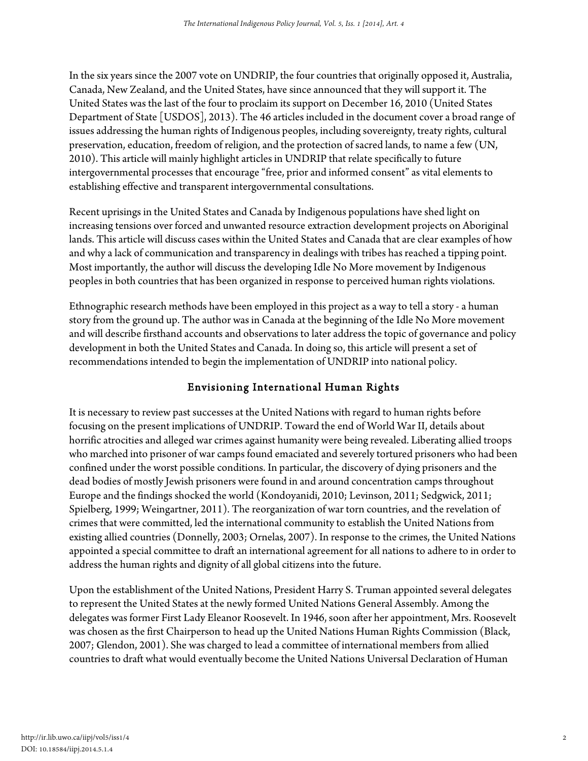In the six years since the 2007 vote on UNDRIP, the four countries that originally opposed it, Australia, Canada, New Zealand, and the United States, have since announced that they will support it. The United States was the last of the four to proclaim its support on December 16, 2010 (United States Department of State [USDOS], 2013). The 46 articles included in the document cover a broad range of issues addressing the human rights of Indigenous peoples, including sovereignty, treaty rights, cultural preservation, education, freedom of religion, and the protection of sacred lands, to name a few (UN, 2010). This article will mainly highlight articles in UNDRIP that relate specifically to future intergovernmental processes that encourage "free, prior and informed consent" as vital elements to establishing effective and transparent intergovernmental consultations.

Recent uprisings in the United States and Canada by Indigenous populations have shed light on increasing tensions over forced and unwanted resource extraction development projects on Aboriginal lands. This article will discuss cases within the United States and Canada that are clear examples of how and why a lack of communication and transparency in dealings with tribes has reached a tipping point. Most importantly, the author will discuss the developing Idle No More movement by Indigenous peoples in both countries that has been organized in response to perceived human rights violations.

Ethnographic research methods have been employed in this project as a way to tell a story - a human story from the ground up. The author was in Canada at the beginning of the Idle No More movement and will describe firsthand accounts and observations to later address the topic of governance and policy development in both the United States and Canada. In doing so, this article will present a set of recommendations intended to begin the implementation of UNDRIP into national policy.

# Envisioning International Human Rights

It is necessary to review past successes at the United Nations with regard to human rights before focusing on the present implications of UNDRIP. Toward the end of World War II, details about horrific atrocities and alleged war crimes against humanity were being revealed. Liberating allied troops who marched into prisoner of war camps found emaciated and severely tortured prisoners who had been confined under the worst possible conditions. In particular, the discovery of dying prisoners and the dead bodies of mostly Jewish prisoners were found in and around concentration camps throughout Europe and the findings shocked the world (Kondoyanidi, 2010; Levinson, 2011; Sedgwick, 2011; Spielberg, 1999; Weingartner, 2011). The reorganization of war torn countries, and the revelation of crimes that were committed, led the international community to establish the United Nations from existing allied countries (Donnelly, 2003; Ornelas, 2007). In response to the crimes, the United Nations appointed a special committee to draft an international agreement for all nations to adhere to in order to address the human rights and dignity of all global citizens into the future.

Upon the establishment of the United Nations, President Harry S. Truman appointed several delegates to represent the United States at the newly formed United Nations General Assembly. Among the delegates was former First Lady Eleanor Roosevelt. In 1946, soon after her appointment, Mrs. Roosevelt was chosen as the first Chairperson to head up the United Nations Human Rights Commission (Black, 2007; Glendon, 2001). She was charged to lead a committee of international members from allied countries to draft what would eventually become the United Nations Universal Declaration of Human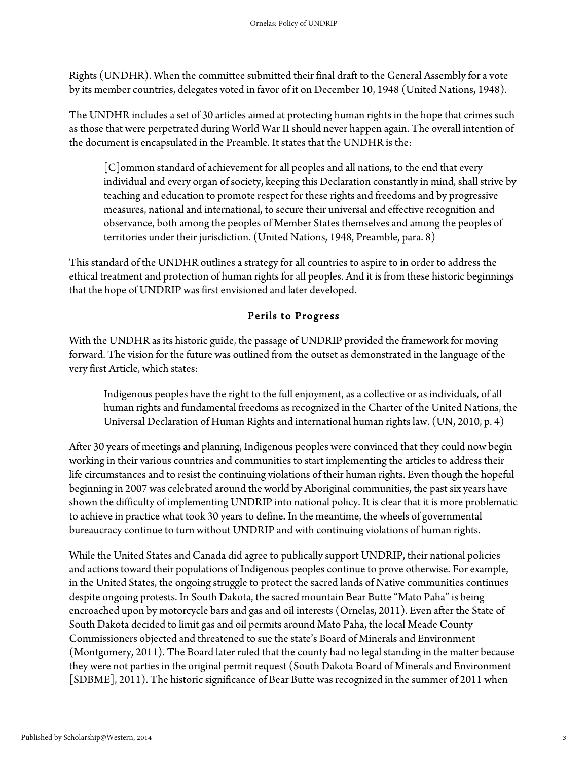Rights (UNDHR). When the committee submitted their final draft to the General Assembly for a vote by its member countries, delegates voted in favor of it on December 10, 1948 (United Nations, 1948).

The UNDHR includes a set of 30 articles aimed at protecting human rights in the hope that crimes such as those that were perpetrated during World War II should never happen again. The overall intention of the document is encapsulated in the Preamble. It states that the UNDHR is the:

[C]ommon standard of achievement for all peoples and all nations, to the end that every individual and every organ of society, keeping this Declaration constantly in mind, shall strive by teaching and education to promote respect for these rights and freedoms and by progressive measures, national and international, to secure their universal and effective recognition and observance, both among the peoples of Member States themselves and among the peoples of territories under their jurisdiction. (United Nations, 1948, Preamble, para. 8)

This standard of the UNDHR outlines a strategy for all countries to aspire to in order to address the ethical treatment and protection of human rights for all peoples. And it is from these historic beginnings that the hope of UNDRIP was first envisioned and later developed.

# Perils to Progress

With the UNDHR as its historic guide, the passage of UNDRIP provided the framework for moving forward. The vision for the future was outlined from the outset as demonstrated in the language of the very first Article, which states:

Indigenous peoples have the right to the full enjoyment, as a collective or as individuals, of all human rights and fundamental freedoms as recognized in the Charter of the United Nations, the Universal Declaration of Human Rights and international human rights law. (UN, 2010, p. 4)

After 30 years of meetings and planning, Indigenous peoples were convinced that they could now begin working in their various countries and communities to start implementing the articles to address their life circumstances and to resist the continuing violations of their human rights. Even though the hopeful beginning in 2007 was celebrated around the world by Aboriginal communities, the past six years have shown the difficulty of implementing UNDRIP into national policy. It is clear that it is more problematic to achieve in practice what took 30 years to define. In the meantime, the wheels of governmental bureaucracy continue to turn without UNDRIP and with continuing violations of human rights.

While the United States and Canada did agree to publically support UNDRIP, their national policies and actions toward their populations of Indigenous peoples continue to prove otherwise. For example, in the United States, the ongoing struggle to protect the sacred lands of Native communities continues despite ongoing protests. In South Dakota, the sacred mountain Bear Butte "Mato Paha" is being encroached upon by motorcycle bars and gas and oil interests (Ornelas, 2011). Even after the State of South Dakota decided to limit gas and oil permits around Mato Paha, the local Meade County Commissioners objected and threatened to sue the state's Board of Minerals and Environment (Montgomery, 2011). The Board later ruled that the county had no legal standing in the matter because they were not parties in the original permit request (South Dakota Board of Minerals and Environment [SDBME], 2011). The historic significance of Bear Butte was recognized in the summer of 2011 when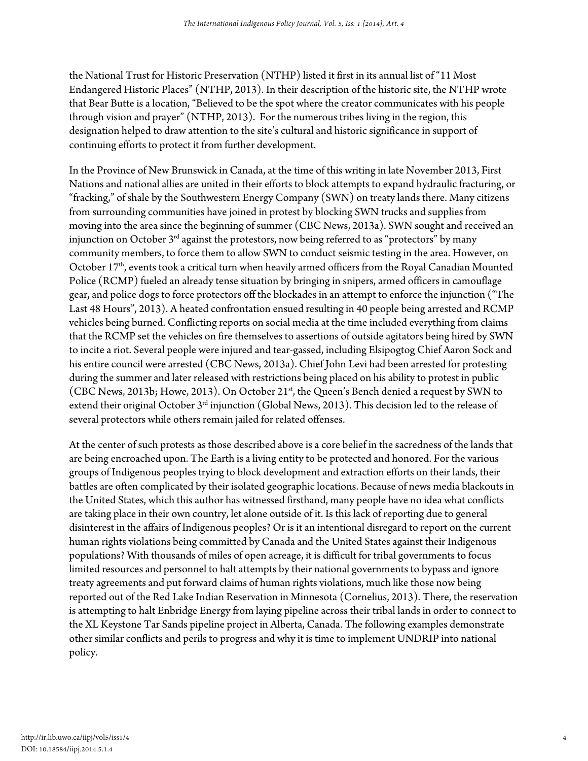the National Trust for Historic Preservation (NTHP) listed it first in its annual list of "11 Most Endangered Historic Places" (NTHP, 2013). In their description of the historic site, the NTHP wrote that Bear Butte is a location, "Believed to be the spot where the creator communicates with his people through vision and prayer" (NTHP, 2013). For the numerous tribes living in the region, this designation helped to draw attention to the site's cultural and historic significance in support of continuing efforts to protect it from further development.

In the Province of New Brunswick in Canada, at the time of this writing in late November 2013, First Nations and national allies are united in their efforts to block attempts to expand hydraulic fracturing, or "fracking," of shale by the Southwestern Energy Company (SWN) on treaty lands there. Many citizens from surrounding communities have joined in protest by blocking SWN trucks and supplies from moving into the area since the beginning of summer (CBC News, 2013a). SWN sought and received an injunction on October  $3<sup>rd</sup>$  against the protestors, now being referred to as "protectors" by many community members, to force them to allow SWN to conduct seismic testing in the area. However, on October 17<sup>th</sup>, events took a critical turn when heavily armed officers from the Royal Canadian Mounted Police (RCMP) fueled an already tense situation by bringing in snipers, armed officers in camouflage gear, and police dogs to force protectors off the blockades in an attempt to enforce the injunction ("The Last 48 Hours", 2013). A heated confrontation ensued resulting in 40 people being arrested and RCMP vehicles being burned. Conflicting reports on social media at the time included everything from claims that the RCMP set the vehicles on fire themselves to assertions of outside agitators being hired by SWN to incite a riot. Several people were injured and tear-gassed, including Elsipogtog Chief Aaron Sock and his entire council were arrested (CBC News, 2013a). Chief John Levi had been arrested for protesting during the summer and later released with restrictions being placed on his ability to protest in public (CBC News, 2013b; Howe, 2013). On October 21<sup>st</sup>, the Queen's Bench denied a request by SWN to extend their original October 3<sup>rd</sup> injunction (Global News, 2013). This decision led to the release of several protectors while others remain jailed for related offenses.

At the center of such protests as those described above is a core belief in the sacredness of the lands that are being encroached upon. The Earth is a living entity to be protected and honored. For the various groups of Indigenous peoples trying to block development and extraction efforts on their lands, their battles are often complicated by their isolated geographic locations. Because of news media blackouts in the United States, which this author has witnessed firsthand, many people have no idea what conflicts are taking place in their own country, let alone outside of it. Is this lack of reporting due to general disinterest in the affairs of Indigenous peoples? Or is it an intentional disregard to report on the current human rights violations being committed by Canada and the United States against their Indigenous populations? With thousands of miles of open acreage, it is difficult for tribal governments to focus limited resources and personnel to halt attempts by their national governments to bypass and ignore treaty agreements and put forward claims of human rights violations, much like those now being reported out of the Red Lake Indian Reservation in Minnesota (Cornelius, 2013). There, the reservation is attempting to halt Enbridge Energy from laying pipeline across their tribal lands in order to connect to the XL Keystone Tar Sands pipeline project in Alberta, Canada. The following examples demonstrate other similar conflicts and perils to progress and why it is time to implement UNDRIP into national policy.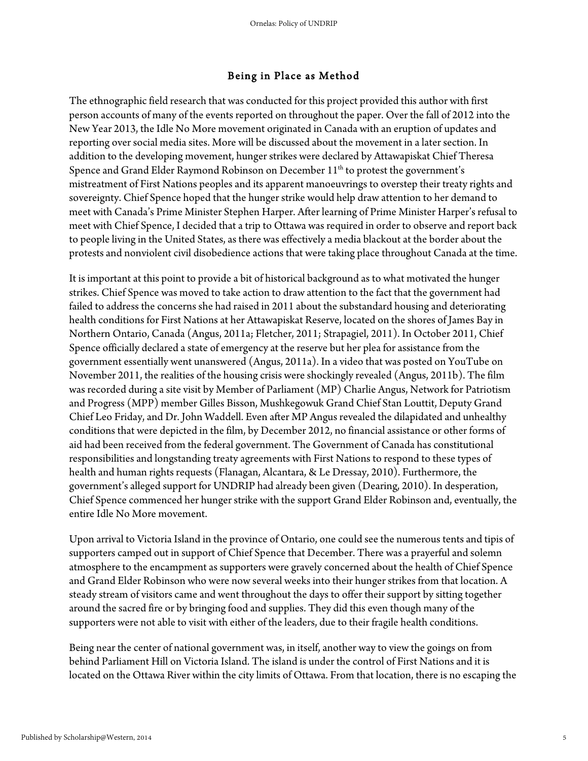#### Being in Place as Method

The ethnographic field research that was conducted for this project provided this author with first person accounts of many of the events reported on throughout the paper. Over the fall of 2012 into the New Year 2013, the Idle No More movement originated in Canada with an eruption of updates and reporting over social media sites. More will be discussed about the movement in a later section. In addition to the developing movement, hunger strikes were declared by Attawapiskat Chief Theresa Spence and Grand Elder Raymond Robinson on December  $11<sup>th</sup>$  to protest the government's mistreatment of First Nations peoples and its apparent manoeuvrings to overstep their treaty rights and sovereignty. Chief Spence hoped that the hunger strike would help draw attention to her demand to meet with Canada's Prime Minister Stephen Harper. After learning of Prime Minister Harper's refusal to meet with Chief Spence, I decided that a trip to Ottawa was required in order to observe and report back to people living in the United States, as there was effectively a media blackout at the border about the protests and nonviolent civil disobedience actions that were taking place throughout Canada at the time.

It is important at this point to provide a bit of historical background as to what motivated the hunger strikes. Chief Spence was moved to take action to draw attention to the fact that the government had failed to address the concerns she had raised in 2011 about the substandard housing and deteriorating health conditions for First Nations at her Attawapiskat Reserve, located on the shores of James Bay in Northern Ontario, Canada (Angus, 2011a; Fletcher, 2011; Strapagiel, 2011). In October 2011, Chief Spence officially declared a state of emergency at the reserve but her plea for assistance from the government essentially went unanswered (Angus, 2011a). In a video that was posted on YouTube on November 2011, the realities of the housing crisis were shockingly revealed (Angus, 2011b). The film was recorded during a site visit by Member of Parliament (MP) Charlie Angus, Network for Patriotism and Progress (MPP) member Gilles Bisson, Mushkegowuk Grand Chief Stan Louttit, Deputy Grand Chief Leo Friday, and Dr. John Waddell. Even after MP Angus revealed the dilapidated and unhealthy conditions that were depicted in the film, by December 2012, no financial assistance or other forms of aid had been received from the federal government. The Government of Canada has constitutional responsibilities and longstanding treaty agreements with First Nations to respond to these types of health and human rights requests (Flanagan, Alcantara, & Le Dressay, 2010). Furthermore, the government's alleged support for UNDRIP had already been given (Dearing, 2010). In desperation, Chief Spence commenced her hunger strike with the support Grand Elder Robinson and, eventually, the entire Idle No More movement.

Upon arrival to Victoria Island in the province of Ontario, one could see the numerous tents and tipis of supporters camped out in support of Chief Spence that December. There was a prayerful and solemn atmosphere to the encampment as supporters were gravely concerned about the health of Chief Spence and Grand Elder Robinson who were now several weeks into their hunger strikes from that location. A steady stream of visitors came and went throughout the days to offer their support by sitting together around the sacred fire or by bringing food and supplies. They did this even though many of the supporters were not able to visit with either of the leaders, due to their fragile health conditions.

Being near the center of national government was, in itself, another way to view the goings on from behind Parliament Hill on Victoria Island. The island is under the control of First Nations and it is located on the Ottawa River within the city limits of Ottawa. From that location, there is no escaping the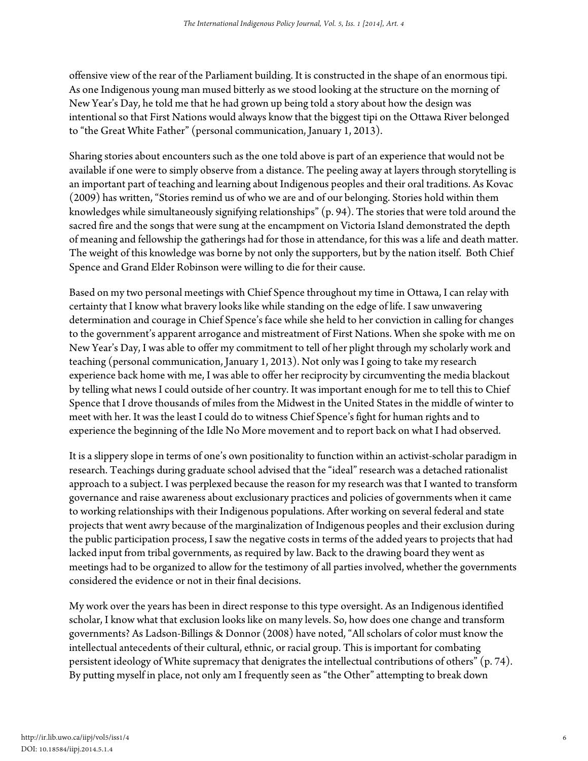offensive view of the rear of the Parliament building. It is constructed in the shape of an enormous tipi. As one Indigenous young man mused bitterly as we stood looking at the structure on the morning of New Year's Day, he told me that he had grown up being told a story about how the design was intentional so that First Nations would always know that the biggest tipi on the Ottawa River belonged to "the Great White Father" (personal communication, January 1, 2013).

Sharing stories about encounters such as the one told above is part of an experience that would not be available if one were to simply observe from a distance. The peeling away at layers through storytelling is an important part of teaching and learning about Indigenous peoples and their oral traditions. As Kovac (2009) has written, "Stories remind us of who we are and of our belonging. Stories hold within them knowledges while simultaneously signifying relationships" (p. 94). The stories that were told around the sacred fire and the songs that were sung at the encampment on Victoria Island demonstrated the depth of meaning and fellowship the gatherings had for those in attendance, for this was a life and death matter. The weight of this knowledge was borne by not only the supporters, but by the nation itself. Both Chief Spence and Grand Elder Robinson were willing to die for their cause.

Based on my two personal meetings with Chief Spence throughout my time in Ottawa, I can relay with certainty that I know what bravery looks like while standing on the edge of life. I saw unwavering determination and courage in Chief Spence's face while she held to her conviction in calling for changes to the government's apparent arrogance and mistreatment of First Nations. When she spoke with me on New Year's Day, I was able to offer my commitment to tell of her plight through my scholarly work and teaching (personal communication, January 1, 2013). Not only was I going to take my research experience back home with me, I was able to offer her reciprocity by circumventing the media blackout by telling what news I could outside of her country. It was important enough for me to tell this to Chief Spence that I drove thousands of miles from the Midwest in the United States in the middle of winter to meet with her. It was the least I could do to witness Chief Spence's fight for human rights and to experience the beginning of the Idle No More movement and to report back on what I had observed.

It is a slippery slope in terms of one's own positionality to function within an activist-scholar paradigm in research. Teachings during graduate school advised that the "ideal" research was a detached rationalist approach to a subject. I was perplexed because the reason for my research was that I wanted to transform governance and raise awareness about exclusionary practices and policies of governments when it came to working relationships with their Indigenous populations. After working on several federal and state projects that went awry because of the marginalization of Indigenous peoples and their exclusion during the public participation process, I saw the negative costs in terms of the added years to projects that had lacked input from tribal governments, as required by law. Back to the drawing board they went as meetings had to be organized to allow for the testimony of all parties involved, whether the governments considered the evidence or not in their final decisions.

My work over the years has been in direct response to this type oversight. As an Indigenous identified scholar, I know what that exclusion looks like on many levels. So, how does one change and transform governments? As Ladson-Billings & Donnor (2008) have noted, "All scholars of color must know the intellectual antecedents of their cultural, ethnic, or racial group. This is important for combating persistent ideology of White supremacy that denigrates the intellectual contributions of others" (p. 74). By putting myself in place, not only am I frequently seen as "the Other" attempting to break down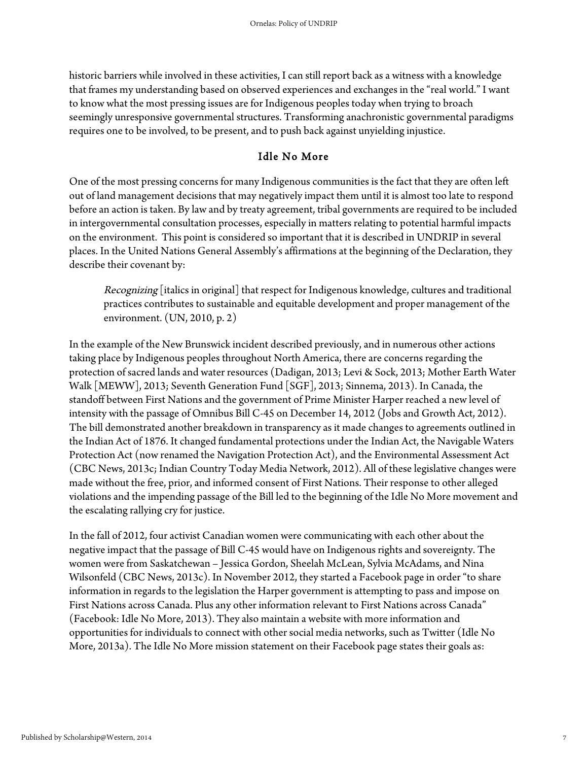historic barriers while involved in these activities, I can still report back as a witness with a knowledge that frames my understanding based on observed experiences and exchanges in the "real world." I want to know what the most pressing issues are for Indigenous peoples today when trying to broach seemingly unresponsive governmental structures. Transforming anachronistic governmental paradigms requires one to be involved, to be present, and to push back against unyielding injustice.

### Idle No More

One of the most pressing concerns for many Indigenous communities is the fact that they are often left out of land management decisions that may negatively impact them until it is almost too late to respond before an action is taken. By law and by treaty agreement, tribal governments are required to be included in intergovernmental consultation processes, especially in matters relating to potential harmful impacts on the environment. This point is considered so important that it is described in UNDRIP in several places. In the United Nations General Assembly's affirmations at the beginning of the Declaration, they describe their covenant by:

Recognizing [italics in original] that respect for Indigenous knowledge, cultures and traditional practices contributes to sustainable and equitable development and proper management of the environment. (UN, 2010, p. 2)

In the example of the New Brunswick incident described previously, and in numerous other actions taking place by Indigenous peoples throughout North America, there are concerns regarding the protection of sacred lands and water resources (Dadigan, 2013; Levi & Sock, 2013; Mother Earth Water Walk [MEWW], 2013; Seventh Generation Fund [SGF], 2013; Sinnema, 2013). In Canada, the standoff between First Nations and the government of Prime Minister Harper reached a new level of intensity with the passage of Omnibus Bill C-45 on December 14, 2012 (Jobs and Growth Act, 2012). The bill demonstrated another breakdown in transparency as it made changes to agreements outlined in the Indian Act of 1876. It changed fundamental protections under the Indian Act, the Navigable Waters Protection Act (now renamed the Navigation Protection Act), and the Environmental Assessment Act (CBC News, 2013c; Indian Country Today Media Network, 2012). All of these legislative changes were made without the free, prior, and informed consent of First Nations. Their response to other alleged violations and the impending passage of the Bill led to the beginning of the Idle No More movement and the escalating rallying cry for justice.

In the fall of 2012, four activist Canadian women were communicating with each other about the negative impact that the passage of Bill C-45 would have on Indigenous rights and sovereignty. The women were from Saskatchewan – Jessica Gordon, Sheelah McLean, Sylvia McAdams, and Nina Wilsonfeld (CBC News, 2013c). In November 2012, they started a Facebook page in order "to share information in regards to the legislation the Harper government is attempting to pass and impose on First Nations across Canada. Plus any other information relevant to First Nations across Canada" (Facebook: Idle No More, 2013). They also maintain a website with more information and opportunities for individuals to connect with other social media networks, such as Twitter (Idle No More, 2013a). The Idle No More mission statement on their Facebook page states their goals as: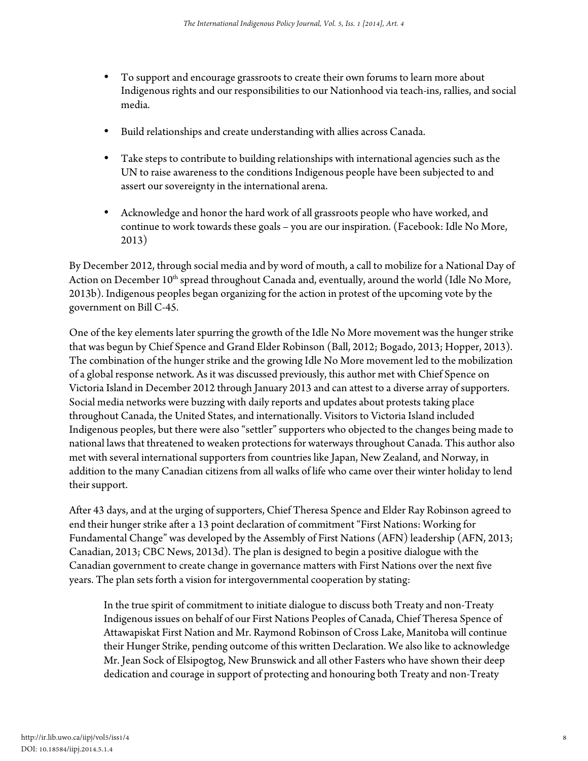- To support and encourage grassroots to create their own forums to learn more about Indigenous rights and our responsibilities to our Nationhood via teach-ins, rallies, and social media.
- Build relationships and create understanding with allies across Canada.
- Take steps to contribute to building relationships with international agencies such as the UN to raise awareness to the conditions Indigenous people have been subjected to and assert our sovereignty in the international arena.
- Acknowledge and honor the hard work of all grassroots people who have worked, and continue to work towards these goals – you are our inspiration. (Facebook: Idle No More, 2013)

By December 2012, through social media and by word of mouth, a call to mobilize for a National Day of Action on December 10<sup>th</sup> spread throughout Canada and, eventually, around the world (Idle No More, 2013b). Indigenous peoples began organizing for the action in protest of the upcoming vote by the government on Bill C-45.

One of the key elements later spurring the growth of the Idle No More movement was the hunger strike that was begun by Chief Spence and Grand Elder Robinson (Ball, 2012; Bogado, 2013; Hopper, 2013). The combination of the hunger strike and the growing Idle No More movement led to the mobilization of a global response network. As it was discussed previously, this author met with Chief Spence on Victoria Island in December 2012 through January 2013 and can attest to a diverse array of supporters. Social media networks were buzzing with daily reports and updates about protests taking place throughout Canada, the United States, and internationally. Visitors to Victoria Island included Indigenous peoples, but there were also "settler" supporters who objected to the changes being made to national laws that threatened to weaken protections for waterways throughout Canada. This author also met with several international supporters from countries like Japan, New Zealand, and Norway, in addition to the many Canadian citizens from all walks of life who came over their winter holiday to lend their support.

After 43 days, and at the urging of supporters, Chief Theresa Spence and Elder Ray Robinson agreed to end their hunger strike after a 13 point declaration of commitment "First Nations: Working for Fundamental Change" was developed by the Assembly of First Nations (AFN) leadership (AFN, 2013; Canadian, 2013; CBC News, 2013d). The plan is designed to begin a positive dialogue with the Canadian government to create change in governance matters with First Nations over the next five years. The plan sets forth a vision for intergovernmental cooperation by stating:

In the true spirit of commitment to initiate dialogue to discuss both Treaty and non-Treaty Indigenous issues on behalf of our First Nations Peoples of Canada, Chief Theresa Spence of Attawapiskat First Nation and Mr. Raymond Robinson of Cross Lake, Manitoba will continue their Hunger Strike, pending outcome of this written Declaration. We also like to acknowledge Mr. Jean Sock of Elsipogtog, New Brunswick and all other Fasters who have shown their deep dedication and courage in support of protecting and honouring both Treaty and non-Treaty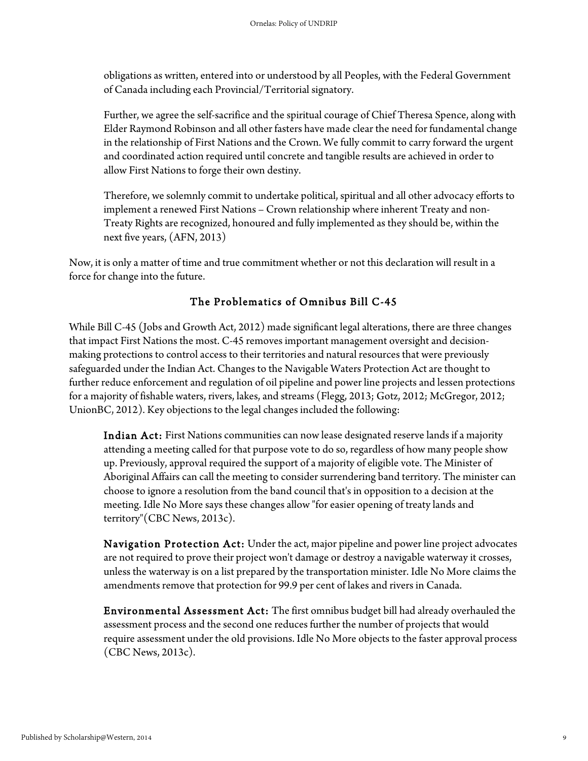obligations as written, entered into or understood by all Peoples, with the Federal Government of Canada including each Provincial/Territorial signatory.

Further, we agree the self-sacrifice and the spiritual courage of Chief Theresa Spence, along with Elder Raymond Robinson and all other fasters have made clear the need for fundamental change in the relationship of First Nations and the Crown. We fully commit to carry forward the urgent and coordinated action required until concrete and tangible results are achieved in order to allow First Nations to forge their own destiny.

Therefore, we solemnly commit to undertake political, spiritual and all other advocacy efforts to implement a renewed First Nations – Crown relationship where inherent Treaty and non-Treaty Rights are recognized, honoured and fully implemented as they should be, within the next five years, (AFN, 2013)

Now, it is only a matter of time and true commitment whether or not this declaration will result in a force for change into the future.

# The Problematics of Omnibus Bill C-45

While Bill C-45 (Jobs and Growth Act, 2012) made significant legal alterations, there are three changes that impact First Nations the most. C-45 removes important management oversight and decisionmaking protections to control access to their territories and natural resources that were previously safeguarded under the Indian Act. Changes to the Navigable Waters Protection Act are thought to further reduce enforcement and regulation of oil pipeline and power line projects and lessen protections for a majority of fishable waters, rivers, lakes, and streams (Flegg, 2013; Gotz, 2012; McGregor, 2012; UnionBC, 2012). Key objections to the legal changes included the following:

Indian Act: First Nations communities can now lease designated reserve lands if a majority attending a meeting called for that purpose vote to do so, regardless of how many people show up. Previously, approval required the support of a majority of eligible vote. The Minister of Aboriginal Affairs can call the meeting to consider surrendering band territory. The minister can choose to ignore a resolution from the band council that's in opposition to a decision at the meeting. Idle No More says these changes allow "for easier opening of treaty lands and territory"(CBC News, 2013c).

Navigation Protection Act: Under the act, major pipeline and power line project advocates are not required to prove their project won't damage or destroy a navigable waterway it crosses, unless the waterway is on a list prepared by the transportation minister. Idle No More claims the amendments remove that protection for 99.9 per cent of lakes and rivers in Canada.

Environmental Assessment Act: The first omnibus budget bill had already overhauled the assessment process and the second one reduces further the number of projects that would require assessment under the old provisions. Idle No More objects to the faster approval process (CBC News, 2013c).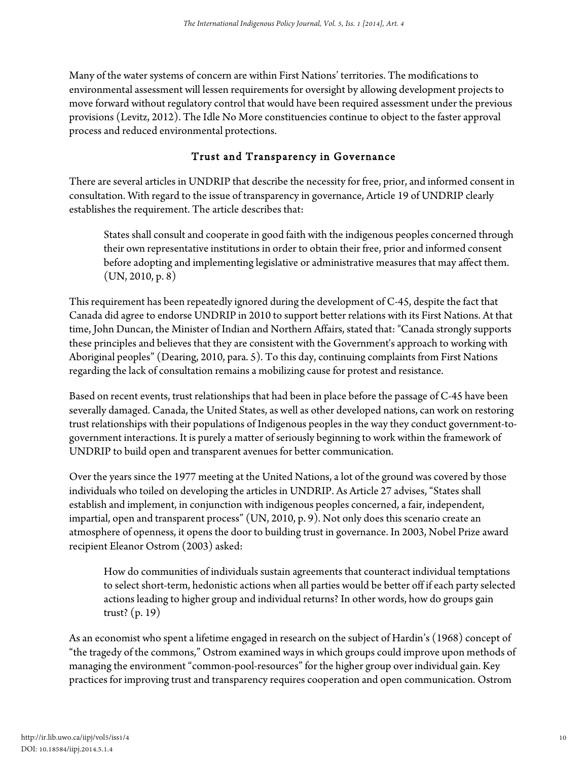Many of the water systems of concern are within First Nations' territories. The modifications to environmental assessment will lessen requirements for oversight by allowing development projects to move forward without regulatory control that would have been required assessment under the previous provisions (Levitz, 2012). The Idle No More constituencies continue to object to the faster approval process and reduced environmental protections.

# Trust and Transparency in Governance

There are several articles in UNDRIP that describe the necessity for free, prior, and informed consent in consultation. With regard to the issue of transparency in governance, Article 19 of UNDRIP clearly establishes the requirement. The article describes that:

States shall consult and cooperate in good faith with the indigenous peoples concerned through their own representative institutions in order to obtain their free, prior and informed consent before adopting and implementing legislative or administrative measures that may affect them.  $(UN, 2010, p. 8)$ 

This requirement has been repeatedly ignored during the development of C-45, despite the fact that Canada did agree to endorse UNDRIP in 2010 to support better relations with its First Nations. At that time, John Duncan, the Minister of Indian and Northern Affairs, stated that: "Canada strongly supports these principles and believes that they are consistent with the Government's approach to working with Aboriginal peoples" (Dearing, 2010, para. 5). To this day, continuing complaints from First Nations regarding the lack of consultation remains a mobilizing cause for protest and resistance.

Based on recent events, trust relationships that had been in place before the passage of C-45 have been severally damaged. Canada, the United States, as well as other developed nations, can work on restoring trust relationships with their populations of Indigenous peoples in the way they conduct government-togovernment interactions. It is purely a matter of seriously beginning to work within the framework of UNDRIP to build open and transparent avenues for better communication.

Over the years since the 1977 meeting at the United Nations, a lot of the ground was covered by those individuals who toiled on developing the articles in UNDRIP. As Article 27 advises, "States shall establish and implement, in conjunction with indigenous peoples concerned, a fair, independent, impartial, open and transparent process" (UN, 2010, p. 9). Not only does this scenario create an atmosphere of openness, it opens the door to building trust in governance. In 2003, Nobel Prize award recipient Eleanor Ostrom (2003) asked:

How do communities of individuals sustain agreements that counteract individual temptations to select short-term, hedonistic actions when all parties would be better off if each party selected actions leading to higher group and individual returns? In other words, how do groups gain trust? (p. 19)

As an economist who spent a lifetime engaged in research on the subject of Hardin's (1968) concept of "the tragedy of the commons," Ostrom examined ways in which groups could improve upon methods of managing the environment "common-pool-resources" for the higher group over individual gain. Key practices for improving trust and transparency requires cooperation and open communication. Ostrom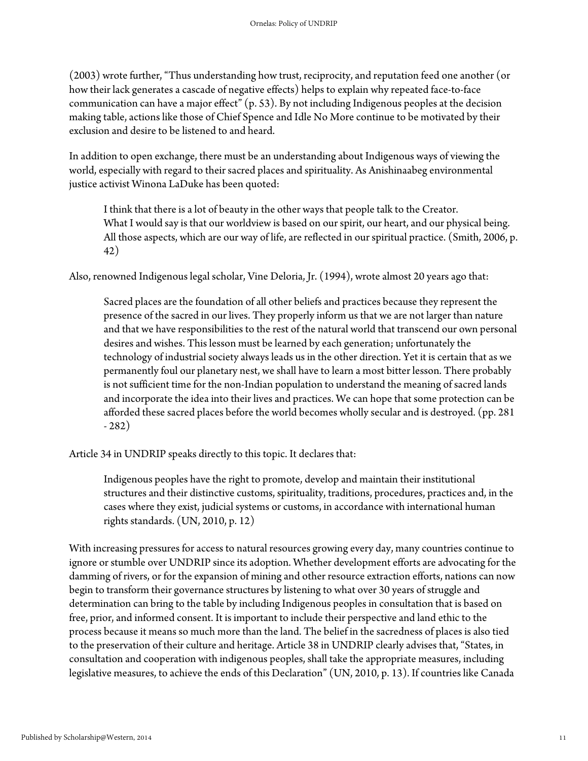(2003) wrote further, "Thus understanding how trust, reciprocity, and reputation feed one another (or how their lack generates a cascade of negative effects) helps to explain why repeated face-to-face communication can have a major effect" (p. 53). By not including Indigenous peoples at the decision making table, actions like those of Chief Spence and Idle No More continue to be motivated by their exclusion and desire to be listened to and heard.

In addition to open exchange, there must be an understanding about Indigenous ways of viewing the world, especially with regard to their sacred places and spirituality. As Anishinaabeg environmental justice activist Winona LaDuke has been quoted:

I think that there is a lot of beauty in the other ways that people talk to the Creator. What I would say is that our worldview is based on our spirit, our heart, and our physical being. All those aspects, which are our way of life, are reflected in our spiritual practice. (Smith, 2006, p. 42)

Also, renowned Indigenous legal scholar, Vine Deloria, Jr. (1994), wrote almost 20 years ago that:

Sacred places are the foundation of all other beliefs and practices because they represent the presence of the sacred in our lives. They properly inform us that we are not larger than nature and that we have responsibilities to the rest of the natural world that transcend our own personal desires and wishes. This lesson must be learned by each generation; unfortunately the technology of industrial society always leads us in the other direction. Yet it is certain that as we permanently foul our planetary nest, we shall have to learn a most bitter lesson. There probably is not sufficient time for the non-Indian population to understand the meaning of sacred lands and incorporate the idea into their lives and practices. We can hope that some protection can be afforded these sacred places before the world becomes wholly secular and is destroyed. (pp. 281 - 282)

Article 34 in UNDRIP speaks directly to this topic. It declares that:

Indigenous peoples have the right to promote, develop and maintain their institutional structures and their distinctive customs, spirituality, traditions, procedures, practices and, in the cases where they exist, judicial systems or customs, in accordance with international human rights standards. (UN, 2010, p. 12)

With increasing pressures for access to natural resources growing every day, many countries continue to ignore or stumble over UNDRIP since its adoption. Whether development efforts are advocating for the damming of rivers, or for the expansion of mining and other resource extraction efforts, nations can now begin to transform their governance structures by listening to what over 30 years of struggle and determination can bring to the table by including Indigenous peoples in consultation that is based on free, prior, and informed consent. It is important to include their perspective and land ethic to the process because it means so much more than the land. The belief in the sacredness of places is also tied to the preservation of their culture and heritage. Article 38 in UNDRIP clearly advises that, "States, in consultation and cooperation with indigenous peoples, shall take the appropriate measures, including legislative measures, to achieve the ends of this Declaration" (UN, 2010, p. 13). If countries like Canada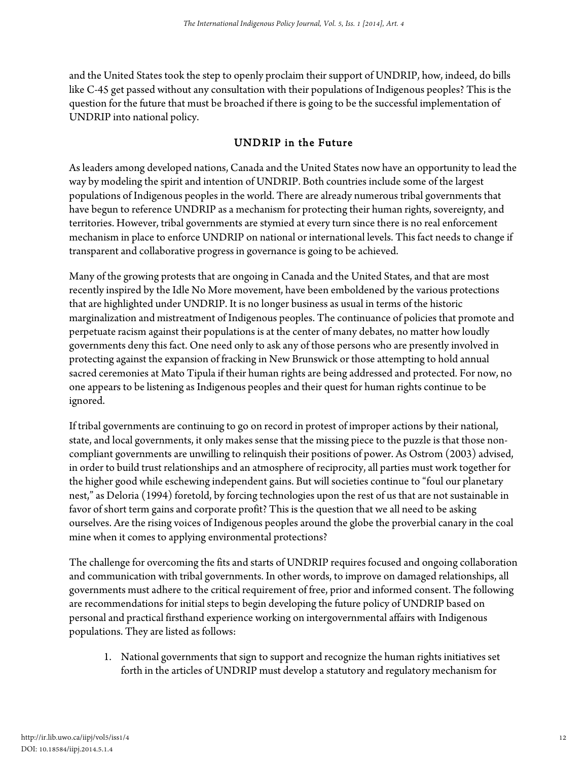and the United States took the step to openly proclaim their support of UNDRIP, how, indeed, do bills like C-45 get passed without any consultation with their populations of Indigenous peoples? This is the question for the future that must be broached if there is going to be the successful implementation of UNDRIP into national policy.

## UNDRIP in the Future

As leaders among developed nations, Canada and the United States now have an opportunity to lead the way by modeling the spirit and intention of UNDRIP. Both countries include some of the largest populations of Indigenous peoples in the world. There are already numerous tribal governments that have begun to reference UNDRIP as a mechanism for protecting their human rights, sovereignty, and territories. However, tribal governments are stymied at every turn since there is no real enforcement mechanism in place to enforce UNDRIP on national or international levels. This fact needs to change if transparent and collaborative progress in governance is going to be achieved.

Many of the growing protests that are ongoing in Canada and the United States, and that are most recently inspired by the Idle No More movement, have been emboldened by the various protections that are highlighted under UNDRIP. It is no longer business as usual in terms of the historic marginalization and mistreatment of Indigenous peoples. The continuance of policies that promote and perpetuate racism against their populations is at the center of many debates, no matter how loudly governments deny this fact. One need only to ask any of those persons who are presently involved in protecting against the expansion of fracking in New Brunswick or those attempting to hold annual sacred ceremonies at Mato Tipula if their human rights are being addressed and protected. For now, no one appears to be listening as Indigenous peoples and their quest for human rights continue to be ignored.

If tribal governments are continuing to go on record in protest of improper actions by their national, state, and local governments, it only makes sense that the missing piece to the puzzle is that those noncompliant governments are unwilling to relinquish their positions of power. As Ostrom (2003) advised, in order to build trust relationships and an atmosphere of reciprocity, all parties must work together for the higher good while eschewing independent gains. But will societies continue to "foul our planetary nest," as Deloria (1994) foretold, by forcing technologies upon the rest of us that are not sustainable in favor of short term gains and corporate profit? This is the question that we all need to be asking ourselves. Are the rising voices of Indigenous peoples around the globe the proverbial canary in the coal mine when it comes to applying environmental protections?

The challenge for overcoming the fits and starts of UNDRIP requires focused and ongoing collaboration and communication with tribal governments. In other words, to improve on damaged relationships, all governments must adhere to the critical requirement of free, prior and informed consent. The following are recommendations for initial steps to begin developing the future policy of UNDRIP based on personal and practical firsthand experience working on intergovernmental affairs with Indigenous populations. They are listed as follows:

1. National governments that sign to support and recognize the human rights initiatives set forth in the articles of UNDRIP must develop a statutory and regulatory mechanism for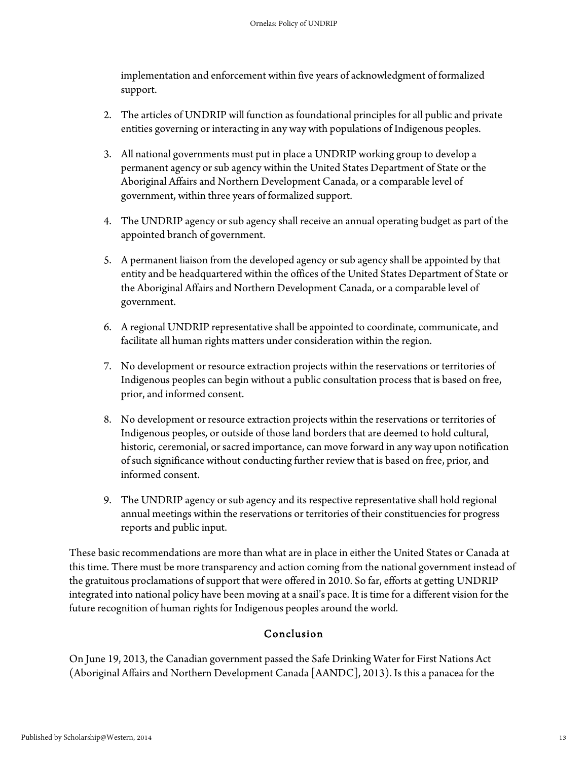implementation and enforcement within five years of acknowledgment of formalized support.

- 2. The articles of UNDRIP will function as foundational principles for all public and private entities governing or interacting in any way with populations of Indigenous peoples.
- 3. All national governments must put in place a UNDRIP working group to develop a permanent agency or sub agency within the United States Department of State or the Aboriginal Affairs and Northern Development Canada, or a comparable level of government, within three years of formalized support.
- 4. The UNDRIP agency or sub agency shall receive an annual operating budget as part of the appointed branch of government.
- 5. A permanent liaison from the developed agency or sub agency shall be appointed by that entity and be headquartered within the offices of the United States Department of State or the Aboriginal Affairs and Northern Development Canada, or a comparable level of government.
- 6. A regional UNDRIP representative shall be appointed to coordinate, communicate, and facilitate all human rights matters under consideration within the region.
- 7. No development or resource extraction projects within the reservations or territories of Indigenous peoples can begin without a public consultation process that is based on free, prior, and informed consent.
- 8. No development or resource extraction projects within the reservations or territories of Indigenous peoples, or outside of those land borders that are deemed to hold cultural, historic, ceremonial, or sacred importance, can move forward in any way upon notification of such significance without conducting further review that is based on free, prior, and informed consent.
- 9. The UNDRIP agency or sub agency and its respective representative shall hold regional annual meetings within the reservations or territories of their constituencies for progress reports and public input.

These basic recommendations are more than what are in place in either the United States or Canada at this time. There must be more transparency and action coming from the national government instead of the gratuitous proclamations of support that were offered in 2010. So far, efforts at getting UNDRIP integrated into national policy have been moving at a snail's pace. It is time for a different vision for the future recognition of human rights for Indigenous peoples around the world.

# Conclusion

On June 19, 2013, the Canadian government passed the Safe Drinking Water for First Nations Act (Aboriginal Affairs and Northern Development Canada [AANDC], 2013). Is this a panacea for the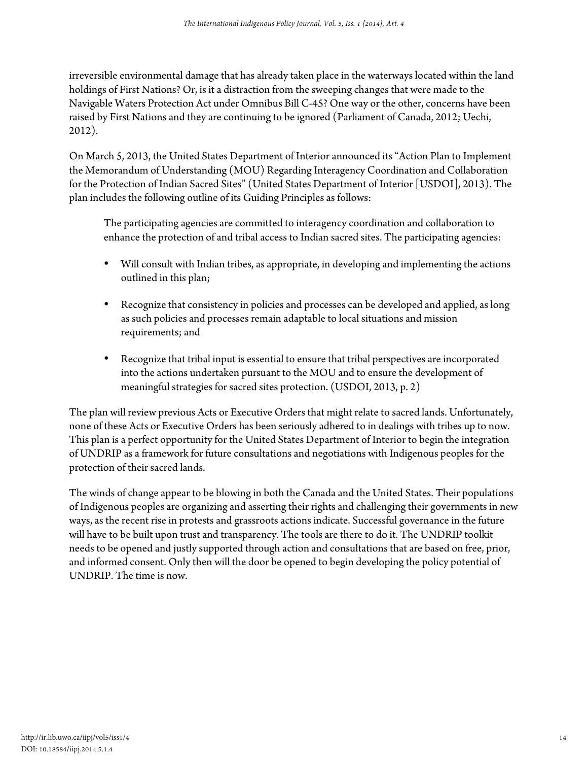irreversible environmental damage that has already taken place in the waterways located within the land holdings of First Nations? Or, is it a distraction from the sweeping changes that were made to the Navigable Waters Protection Act under Omnibus Bill C-45? One way or the other, concerns have been raised by First Nations and they are continuing to be ignored (Parliament of Canada, 2012; Uechi, 2012).

On March 5, 2013, the United States Department of Interior announced its "Action Plan to Implement the Memorandum of Understanding (MOU) Regarding Interagency Coordination and Collaboration for the Protection of Indian Sacred Sites" (United States Department of Interior [USDOI], 2013). The plan includes the following outline of its Guiding Principles as follows:

The participating agencies are committed to interagency coordination and collaboration to enhance the protection of and tribal access to Indian sacred sites. The participating agencies:

- Will consult with Indian tribes, as appropriate, in developing and implementing the actions outlined in this plan;
- Recognize that consistency in policies and processes can be developed and applied, as long as such policies and processes remain adaptable to local situations and mission requirements; and
- Recognize that tribal input is essential to ensure that tribal perspectives are incorporated into the actions undertaken pursuant to the MOU and to ensure the development of meaningful strategies for sacred sites protection. (USDOI, 2013, p. 2)

The plan will review previous Acts or Executive Orders that might relate to sacred lands. Unfortunately, none of these Acts or Executive Orders has been seriously adhered to in dealings with tribes up to now. This plan is a perfect opportunity for the United States Department of Interior to begin the integration of UNDRIP as a framework for future consultations and negotiations with Indigenous peoples for the protection of their sacred lands.

The winds of change appear to be blowing in both the Canada and the United States. Their populations of Indigenous peoples are organizing and asserting their rights and challenging their governments in new ways, as the recent rise in protests and grassroots actions indicate. Successful governance in the future will have to be built upon trust and transparency. The tools are there to do it. The UNDRIP toolkit needs to be opened and justly supported through action and consultations that are based on free, prior, and informed consent. Only then will the door be opened to begin developing the policy potential of UNDRIP. The time is now.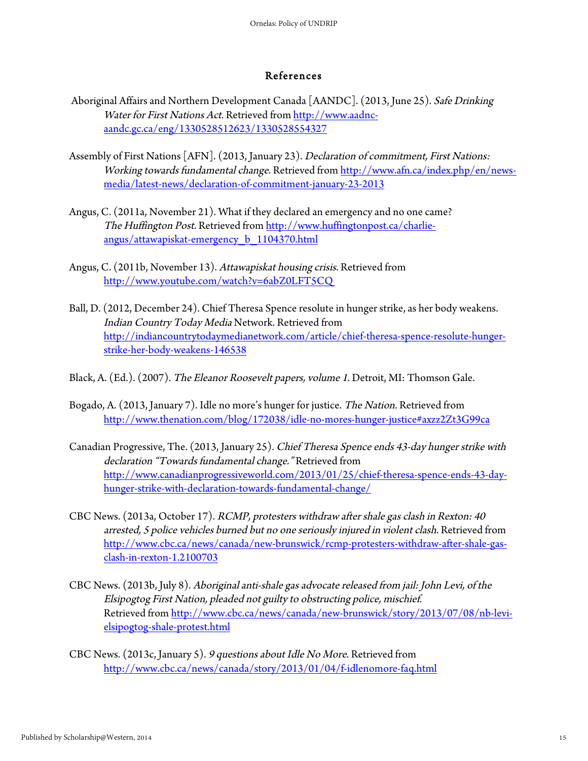#### References

- Aboriginal Affairs and Northern Development Canada [AANDC]. (2013, June 25). Safe Drinking Water for First Nations Act. Retrieved from http://www.aadncaandc.gc.ca/eng/1330528512623/1330528554327
- Assembly of First Nations [AFN]. (2013, January 23). Declaration of commitment, First Nations: Working towards fundamental change. Retrieved from http://www.afn.ca/index.php/en/newsmedia/latest-news/declaration-of-commitment-january-23-2013
- Angus, C. (2011a, November 21). What if they declared an emergency and no one came? The Huffington Post. Retrieved from http://www.huffingtonpost.ca/charlieangus/attawapiskat-emergency\_b\_1104370.html
- Angus, C. (2011b, November 13). Attawapiskat housing crisis. Retrieved from http://www.youtube.com/watch?v=6abZ0LFT5CQ
- Ball, D. (2012, December 24). Chief Theresa Spence resolute in hunger strike, as her body weakens. Indian Country Today Media Network. Retrieved from http://indiancountrytodaymedianetwork.com/article/chief-theresa-spence-resolute-hungerstrike-her-body-weakens-146538
- Black, A. (Ed.). (2007). The Eleanor Roosevelt papers, volume 1. Detroit, MI: Thomson Gale.
- Bogado, A. (2013, January 7). Idle no more's hunger for justice. The Nation. Retrieved from http://www.thenation.com/blog/172038/idle-no-mores-hunger-justice#axzz2Zt3G99ca
- Canadian Progressive, The. (2013, January 25). Chief Theresa Spence ends 43-day hunger strike with declaration "Towards fundamental change." Retrieved from http://www.canadianprogressiveworld.com/2013/01/25/chief-theresa-spence-ends-43-dayhunger-strike-with-declaration-towards-fundamental-change/
- CBC News. (2013a, October 17). RCMP, protesters withdraw after shale gas clash in Rexton: 40 arrested, 5 police vehicles burned but no one seriously injured in violent clash. Retrieved from http://www.cbc.ca/news/canada/new-brunswick/rcmp-protesters-withdraw-after-shale-gasclash-in-rexton-1.2100703
- CBC News. (2013b, July 8). Aboriginal anti-shale gas advocate released from jail: John Levi, of the Elsipogtog First Nation, pleaded not guilty to obstructing police, mischief. Retrieved from http://www.cbc.ca/news/canada/new-brunswick/story/2013/07/08/nb-levielsipogtog-shale-protest.html
- CBC News. (2013c, January 5). 9 questions about Idle No More. Retrieved from http://www.cbc.ca/news/canada/story/2013/01/04/f-idlenomore-faq.html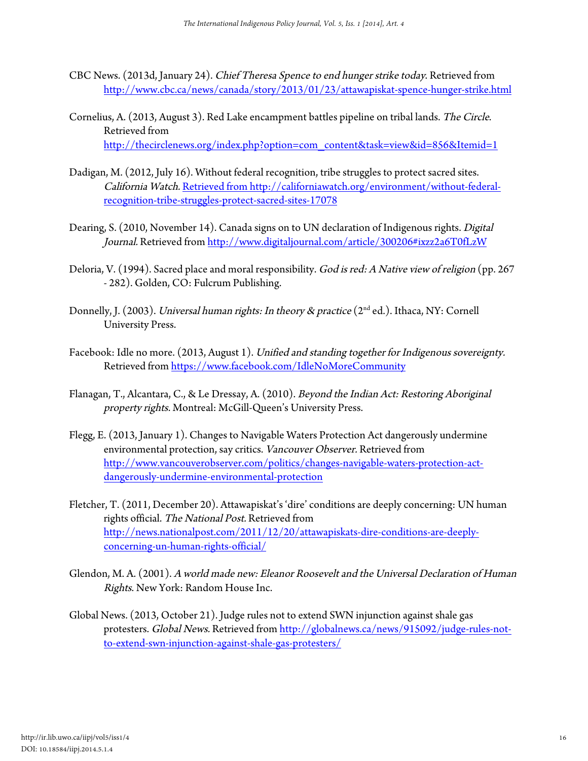- CBC News. (2013d, January 24). Chief Theresa Spence to end hunger strike today. Retrieved from http://www.cbc.ca/news/canada/story/2013/01/23/attawapiskat-spence-hunger-strike.html
- Cornelius, A. (2013, August 3). Red Lake encampment battles pipeline on tribal lands. The Circle. Retrieved from http://thecirclenews.org/index.php?option=com\_content&task=view&id=856&Itemid=1
- Dadigan, M. (2012, July 16). Without federal recognition, tribe struggles to protect sacred sites. California Watch. Retrieved from http://californiawatch.org/environment/without-federalrecognition-tribe-struggles-protect-sacred-sites-17078
- Dearing, S. (2010, November 14). Canada signs on to UN declaration of Indigenous rights. Digital Journal. Retrieved from http://www.digitaljournal.com/article/300206#ixzz2a6T0fLzW
- Deloria, V. (1994). Sacred place and moral responsibility. God is red: A Native view of religion (pp. 267 - 282). Golden, CO: Fulcrum Publishing.
- Donnelly, J. (2003). *Universal human rights: In theory & practice* (2<sup>nd</sup> ed.). Ithaca, NY: Cornell University Press.
- Facebook: Idle no more. (2013, August 1). Unified and standing together for Indigenous sovereignty. Retrieved from https://www.facebook.com/IdleNoMoreCommunity
- Flanagan, T., Alcantara, C., & Le Dressay, A. (2010). Beyond the Indian Act: Restoring Aboriginal property rights. Montreal: McGill-Queen's University Press.
- Flegg, E. (2013, January 1). Changes to Navigable Waters Protection Act dangerously undermine environmental protection, say critics. Vancouver Observer. Retrieved from http://www.vancouverobserver.com/politics/changes-navigable-waters-protection-actdangerously-undermine-environmental-protection
- Fletcher, T. (2011, December 20). Attawapiskat's 'dire' conditions are deeply concerning: UN human rights official. The National Post. Retrieved from http://news.nationalpost.com/2011/12/20/attawapiskats-dire-conditions-are-deeplyconcerning-un-human-rights-official/
- Glendon, M. A. (2001). A world made new: Eleanor Roosevelt and the Universal Declaration of Human Rights. New York: Random House Inc.
- Global News. (2013, October 21). Judge rules not to extend SWN injunction against shale gas protesters. Global News. Retrieved from http://globalnews.ca/news/915092/judge-rules-notto-extend-swn-injunction-against-shale-gas-protesters/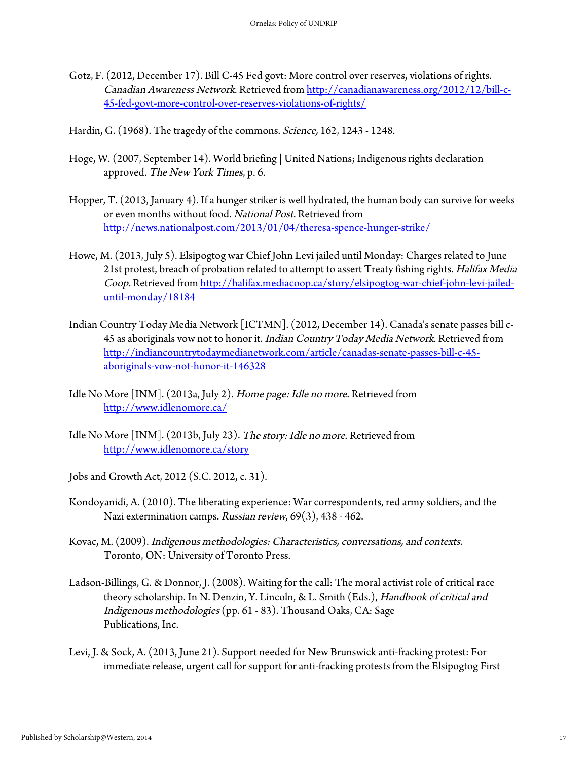- Gotz, F. (2012, December 17). Bill C-45 Fed govt: More control over reserves, violations of rights. Canadian Awareness Network. Retrieved from http://canadianawareness.org/2012/12/bill-c-45-fed-govt-more-control-over-reserves-violations-of-rights/
- Hardin, G. (1968). The tragedy of the commons. *Science*, 162, 1243 1248.
- Hoge, W. (2007, September 14). World briefing | United Nations; Indigenous rights declaration approved. The New York Times, p. 6.
- Hopper, T. (2013, January 4). If a hunger striker is well hydrated, the human body can survive for weeks or even months without food. National Post. Retrieved from http://news.nationalpost.com/2013/01/04/theresa-spence-hunger-strike/
- Howe, M. (2013, July 5). Elsipogtog war Chief John Levi jailed until Monday: Charges related to June 21st protest, breach of probation related to attempt to assert Treaty fishing rights. Halifax Media Coop. Retrieved from http://halifax.mediacoop.ca/story/elsipogtog-war-chief-john-levi-jaileduntil-monday/18184
- Indian Country Today Media Network [ICTMN]. (2012, December 14). Canada's senate passes bill c-45 as aboriginals vow not to honor it. Indian Country Today Media Network. Retrieved from http://indiancountrytodaymedianetwork.com/article/canadas-senate-passes-bill-c-45 aboriginals-vow-not-honor-it-146328
- Idle No More [INM]. (2013a, July 2). Home page: Idle no more. Retrieved from http://www.idlenomore.ca/
- Idle No More [INM]. (2013b, July 23). The story: Idle no more. Retrieved from http://www.idlenomore.ca/story
- Jobs and Growth Act, 2012 (S.C. 2012, c. 31).
- Kondoyanidi, A. (2010). The liberating experience: War correspondents, red army soldiers, and the Nazi extermination camps. Russian review, 69(3), 438 - 462.
- Kovac, M. (2009). Indigenous methodologies: Characteristics, conversations, and contexts. Toronto, ON: University of Toronto Press.
- Ladson-Billings, G. & Donnor, J. (2008). Waiting for the call: The moral activist role of critical race theory scholarship. In N. Denzin, Y. Lincoln, & L. Smith (Eds.), Handbook of critical and Indigenous methodologies (pp. 61 - 83). Thousand Oaks, CA: Sage Publications, Inc.
- Levi, J. & Sock, A. (2013, June 21). Support needed for New Brunswick anti-fracking protest: For immediate release, urgent call for support for anti-fracking protests from the Elsipogtog First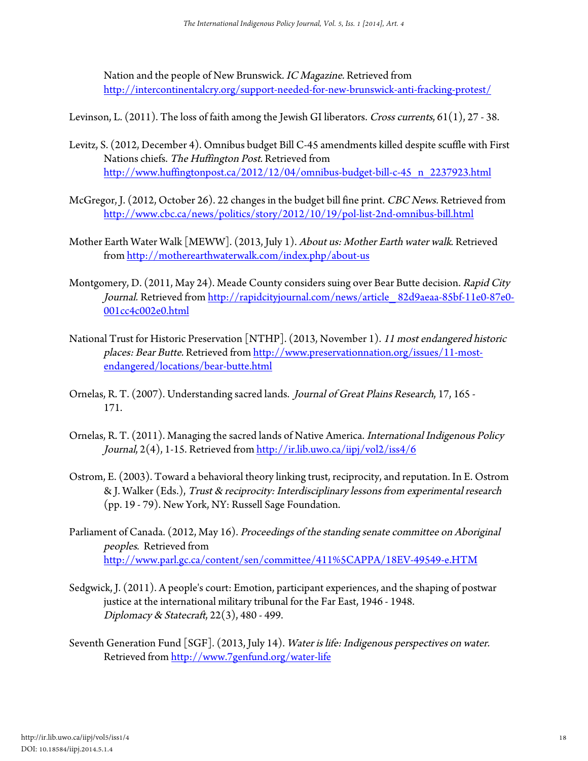Nation and the people of New Brunswick. IC Magazine. Retrieved from http://intercontinentalcry.org/support-needed-for-new-brunswick-anti-fracking-protest/

Levinson, L. (2011). The loss of faith among the Jewish GI liberators. Cross currents, 61(1), 27 - 38.

- Levitz, S. (2012, December 4). Omnibus budget Bill C-45 amendments killed despite scuffle with First Nations chiefs. The Huffington Post. Retrieved from http://www.huffingtonpost.ca/2012/12/04/omnibus-budget-bill-c-45\_n\_2237923.html
- McGregor, J. (2012, October 26). 22 changes in the budget bill fine print. CBC News. Retrieved from http://www.cbc.ca/news/politics/story/2012/10/19/pol-list-2nd-omnibus-bill.html
- Mother Earth Water Walk [MEWW]. (2013, July 1). About us: Mother Earth water walk. Retrieved from http://motherearthwaterwalk.com/index.php/about-us
- Montgomery, D. (2011, May 24). Meade County considers suing over Bear Butte decision. Rapid City Journal. Retrieved from http://rapidcityjournal.com/news/article 82d9aeaa-85bf-11e0-87e0-001cc4c002e0.html
- National Trust for Historic Preservation [NTHP]. (2013, November 1). 11 most endangered historic places: Bear Butte. Retrieved from http://www.preservationnation.org/issues/11-mostendangered/locations/bear-butte.html
- Ornelas, R. T. (2007). Understanding sacred lands. Journal of Great Plains Research, 17, 165 171.
- Ornelas, R. T. (2011). Managing the sacred lands of Native America. International Indigenous Policy Journal, 2(4), 1-15. Retrieved from http://ir.lib.uwo.ca/iipj/vol2/iss4/6
- Ostrom, E. (2003). Toward a behavioral theory linking trust, reciprocity, and reputation. In E. Ostrom & J. Walker (Eds.), Trust & reciprocity: Interdisciplinary lessons from experimental research (pp. 19 - 79). New York, NY: Russell Sage Foundation.
- Parliament of Canada. (2012, May 16). Proceedings of the standing senate committee on Aboriginal peoples. Retrieved from http://www.parl.gc.ca/content/sen/committee/411%5CAPPA/18EV-49549-e.HTM
- Sedgwick, J. (2011). A people's court: Emotion, participant experiences, and the shaping of postwar justice at the international military tribunal for the Far East, 1946 - 1948. Diplomacy & Statecraft, 22(3), 480 - 499.
- Seventh Generation Fund [SGF]. (2013, July 14). Water is life: Indigenous perspectives on water. Retrieved from http://www.7genfund.org/water-life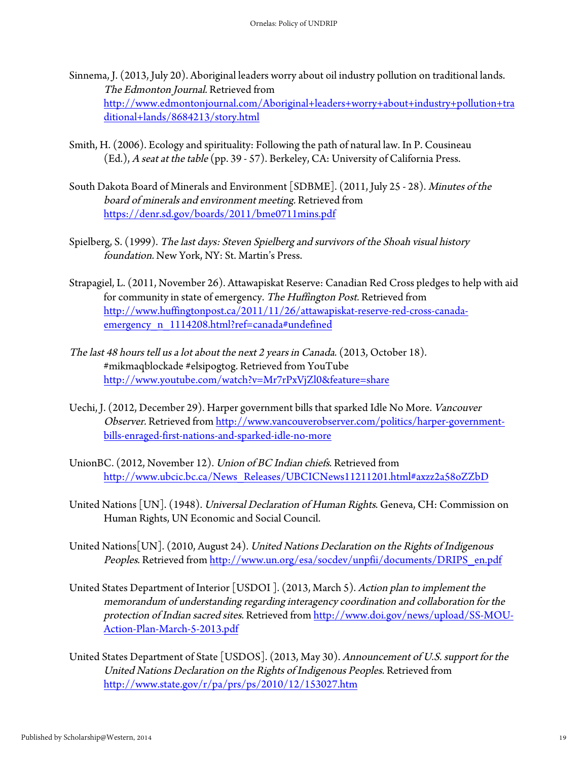- Sinnema, J. (2013, July 20). Aboriginal leaders worry about oil industry pollution on traditional lands. The Edmonton Journal. Retrieved from http://www.edmontonjournal.com/Aboriginal+leaders+worry+about+industry+pollution+tra ditional+lands/8684213/story.html
- Smith, H. (2006). Ecology and spirituality: Following the path of natural law. In P. Cousineau (Ed.), A seat at the table (pp. 39 - 57). Berkeley, CA: University of California Press.
- South Dakota Board of Minerals and Environment [SDBME]. (2011, July 25 28). Minutes of the board of minerals and environment meeting. Retrieved from https://denr.sd.gov/boards/2011/bme0711mins.pdf
- Spielberg, S. (1999). The last days: Steven Spielberg and survivors of the Shoah visual history foundation. New York, NY: St. Martin's Press.
- Strapagiel, L. (2011, November 26). Attawapiskat Reserve: Canadian Red Cross pledges to help with aid for community in state of emergency. The Huffington Post. Retrieved from http://www.huffingtonpost.ca/2011/11/26/attawapiskat-reserve-red-cross-canadaemergency\_n\_1114208.html?ref=canada#undefined
- The last 48 hours tell us a lot about the next 2 years in Canada. (2013, October 18). #mikmaqblockade #elsipogtog. Retrieved from YouTube http://www.youtube.com/watch?v=Mr7rPxVjZl0&feature=share
- Uechi, J. (2012, December 29). Harper government bills that sparked Idle No More. Vancouver Observer. Retrieved from http://www.vancouverobserver.com/politics/harper-governmentbills-enraged-first-nations-and-sparked-idle-no-more
- UnionBC. (2012, November 12). Union of BC Indian chiefs. Retrieved from http://www.ubcic.bc.ca/News\_Releases/UBCICNews11211201.html#axzz2a58oZZbD
- United Nations [UN]. (1948). Universal Declaration of Human Rights. Geneva, CH: Commission on Human Rights, UN Economic and Social Council.
- United Nations[UN]. (2010, August 24). United Nations Declaration on the Rights of Indigenous Peoples. Retrieved from http://www.un.org/esa/socdev/unpfii/documents/DRIPS\_en.pdf
- United States Department of Interior [USDOI]. (2013, March 5). Action plan to implement the memorandum of understanding regarding interagency coordination and collaboration for the protection of Indian sacred sites. Retrieved from http://www.doi.gov/news/upload/SS-MOU-Action-Plan-March-5-2013.pdf
- United States Department of State [USDOS]. (2013, May 30). Announcement of U.S. support for the United Nations Declaration on the Rights of Indigenous Peoples. Retrieved from http://www.state.gov/r/pa/prs/ps/2010/12/153027.htm